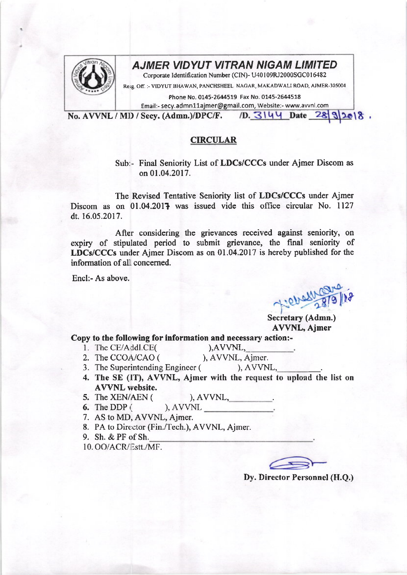

## **AJMER VIDYUT VITRAN NIGAM LIMITED**

Corporate Identification Number (CIN)- U40109RJ2000SGC016482

Resg. Off. :- VIDYUT BHAWAN, PANCHSHEEL, NAGAR, MAKADWALI ROAD, AJMER-305004

Phone No. 0145-2644519 Fax No. 0145-2644518

Email:- secy.admn11ajmer@gmail.com, Website:- www.avvnl.com

 $/D.$  3144 Date  $28.32018$ . No. AVVNL / MD / Secy. (Admn.)/DPC/F.

## **CIRCULAR**

Sub:- Final Seniority List of LDCs/CCCs under Ajmer Discom as on 01.04.2017.

The Revised Tentative Seniority list of LDCs/CCCs under Ajmer Discom as on 01.04.2017 was issued vide this office circular No. 1127 dt. 16.05.2017.

After considering the grievances received against seniority, on expiry of stipulated period to submit grievance, the final seniority of LDCs/CCCs under Ajmer Discom as on 01.04.2017 is hereby published for the information of all concerned.

Encl:- As above.

Secretary (Admn.) **AVVNL, Ajmer** 

## Copy to the following for information and necessary action:-

1. The CE/Addl.CE(

 $AVVNL$ , ), AVVNL, Ajmer.

- 2. The CCOA/CAO (
- 3. The Superintending Engineer ( ), AVVNL,
- 4. The SE (IT), AVVNL, Ajmer with the request to upload the list on **AVVNL** website.
- 5. The XEN/AEN (  $AVVNL$ ,
- 6. The DDP  $($ ), AVVNL
- 7. AS to MD, AVVNL, Ajmer.
- 8. PA to Director (Fin./Tech.), AVVNL, Ajmer.
- 9. Sh. & PF of Sh.

10. OO/ACR/Estt./MF.

Dy. Director Personnel (H.O.)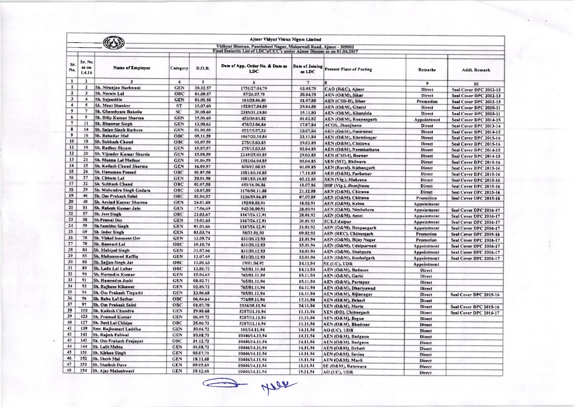|                                                                                                                                             | Ajmer Vidyut Vitran Nigam Limited |                                 |                      |          |                                                |                           |                                 |                    |                                                  |
|---------------------------------------------------------------------------------------------------------------------------------------------|-----------------------------------|---------------------------------|----------------------|----------|------------------------------------------------|---------------------------|---------------------------------|--------------------|--------------------------------------------------|
| Vidhyut Bhawan, Panchsheel Nagar, Makarwali Road, Ajmer - 305001<br>Final Seniority List of LDC's/CCC's under Ajmer Discom as on 01.04.2017 |                                   |                                 |                      |          |                                                |                           |                                 |                    |                                                  |
|                                                                                                                                             |                                   |                                 |                      |          |                                                |                           |                                 |                    |                                                  |
| Sr.<br>No.                                                                                                                                  | Sr. No.<br>as on<br>1.4.16        | <b>Name of Employee</b>         | Category             | D.O.B.   | Date of App. Order No. & Date as<br><b>LDC</b> | Date of Joining<br>as LDC | <b>Present Place of Posting</b> | Remarks            | <b>AddL Remark</b>                               |
| $\mathbf{1}$                                                                                                                                | $\overline{2}$                    | $\mathbf{3}$                    | $\blacktriangleleft$ | 5        | 6                                              | $7\overline{ }$           |                                 | 9                  | 10                                               |
| $\mathbf{1}$                                                                                                                                | $\overline{2}$                    | Sh. Niranjan Bachwani           | <b>GEN</b>           | 20.12.57 | 1751/27.04.79                                  | 03.05.79                  | CAO (R&C), Ajmer                | Direct             | Seal Cover DPC 2012-13                           |
| $\mathbf{2}$                                                                                                                                | $\mathbf{3}$                      | Sh. Narain Lal                  | OBC                  | 01.09.57 | 57/26.07.79                                    | 30.04.79                  | AEN (O&M), Sikar                | Direct             | Seal Cover DPC 2012-13                           |
| $\overline{\mathbf{3}}$                                                                                                                     | $\overline{\mathbf{4}}$           | Sh. Snjauddin                   | <b>GEN</b>           | 01.01.58 | 161/28.06.80                                   | 01.07,80                  | AEN (CSD-II), Sikar             | Promotion          | Seal Cover DPC 2012-13                           |
| $\blacktriangleleft$                                                                                                                        | $\mathbf{5}$                      | Sh. Mani Shanker                | <b>ST</b>            | 15,07.60 | 1520/17.04.80                                  | 29.04.80                  | AEN (O&M), Ghatol               | Direct             | Seal Cover DPC 2010-11                           |
| $\mathbf{s}$                                                                                                                                | $\tau$                            | Sh. Ghanshyam Bakolia           | SC <sub>1</sub>      | 30,08.60 | 2385/31.10.80                                  | 15.11.80                  | AEN (O&M), Khandela             | Direct             | Seal Cover DPC 2010-11                           |
| 6                                                                                                                                           | 9                                 | <b>Sh. Dilip Kumar Sharma</b>   | <b>GEN</b>           | 15,06.60 | 453/30.01,82                                   | 01.02.82                  | AEN (O&M), Roopangarh           | Appointment        | Seal Cover DPC 2014-15                           |
| $\overline{\mathcal{I}}$                                                                                                                    | $\mathbf{H}$                      | <b>Sh. Bhanwar Singh</b>        | <b>GEN</b>           | 13,08.63 | 476/23.06.84                                   | 17.07.84                  | ACOS, Jhunjhunu                 | Direct             | Seal Cover DPC 2013-14                           |
| $\pmb{8}$                                                                                                                                   | 14                                | Sh. Sajan Singh Rathore         | GEN                  | 01 03 40 | 601/10.07.04                                   | 18.07.84                  | AEN (U&M), Nastrabad            | Direct             | Seal Cover DPC 2014-15                           |
| $\overline{9}$                                                                                                                              | 16                                | <b>Sh. Bahadur Mal</b>          | ОВС                  | 05,11.59 | 1067/20.10.84                                  | 23,11,84                  | AEN (O&M), Kheirinagar          | <b>Direct</b>      | Seal Cover DPC 2015-16                           |
| 10                                                                                                                                          | 18                                | <b>Sh. Subhash Chand</b>        | OBC                  | 01.07.59 | 275/15.03.85                                   | 29.03.85                  | AEN (O&M), Chidawa              | Direct             | Seal Cover DPC 2015-16                           |
| 11                                                                                                                                          | 19                                | Sh. Radhey Shyam                | <b>GEN</b>           | 15.07.57 | 275/15.03.85                                   | 02.04.85                  | AEN (O&M), Neemkathana          | Direct             | Seal Cover DPC 2014-15                           |
| 12                                                                                                                                          | 20                                | Sh. Vijender Kunsar Sharda      | <b>GEN</b>           | 15.08.59 | 2249/25.03.85                                  | 29.03.85                  | AEN (CSD-I), Beawar             | <b>Direct</b>      | Seal Cover DPC 2014-15                           |
| 13                                                                                                                                          | 21                                | <b>Sh. Munna Lal Mathur</b>     | <b>GEN</b>           | 01.06.59 | 1582/04.04.85                                  | 05.04.85                  | XEN (MT), Bhilwara              | Direct             |                                                  |
| 14                                                                                                                                          | 25                                | Sh. Kailash Chand Sharma        | <b>GEN</b>           | 16.09.57 | 809/02.08.85                                   | 01.09.85                  | AEN (Rural), Kishangarh         | <b>Direct</b>      | Seal Cover DPC 2015-16<br>Seal Cover DPC 2015-16 |
| 15                                                                                                                                          | 26                                | <b>Sh. Hanuman Presed</b>       | ОВС                  | 01.07.58 | 1081/10.10.85                                  | 17.11.85                  | AEN (O&M), Parbatsar            | Direct             | Seal Cover DPC 2015-16                           |
| 16                                                                                                                                          | 27                                | Sh. Chhotu Lal                  | <b>GEN</b>           | 20.01.58 | 1081/10.10.85                                  | 03.12.85                  | <b>XEN (Vig.), Makrana</b>      | <b>Direct</b>      |                                                  |
| 17                                                                                                                                          | 32                                | Sh. Subhash Chand               | ОВС                  | 01.07.58 | 651/16.06,86                                   | 18,07,86                  | DSP (Vig.), Jhunjhunu           |                    | Seal Cover DPC 2015-16                           |
| 18                                                                                                                                          | 39                                | Sh. Mahendra Singh Godara       | OBC                  | 10.07.59 | 1170/30.11.88                                  | 21.12.88                  | AEN (O&M), Chirawa              | Direct             | Seal Cover DPC 2015-16                           |
| 19                                                                                                                                          | 46                                | Sh. Om Prakash Salni            | OBC                  | 02.04.57 | 1236/29.06.89                                  | 07.07.89                  |                                 | Direct             | Seal Cover DPC 2015-16                           |
| 20                                                                                                                                          | 48                                | <b>Sh. Arvind Kurner Sharma</b> | <b>GEN</b>           | 26.01.68 | 192/08.02.91                                   | 18.02.91                  | AEN (O&M), Chirawa              | <b>Promotion</b>   | Seal Cover DPC 2015-16                           |
| 21                                                                                                                                          | 51                                | Sh. Rakesh Kumar Jain           | <b>GEN</b>           | 17.06.69 | 942/30,09.91                                   | 28.10.91                  | AEN (O&M), Kelwa                | <b>Appointment</b> |                                                  |
| 22                                                                                                                                          | 57                                | Sh. Jeet Singh                  | OBC                  | 23.03.67 | 1167/26.12.91                                  | 28.01.92                  | AEN (O&M), Nimbahera            | Appointment        | Seal Cover DPC 2016-17                           |
| 23                                                                                                                                          | 58                                | <b>Sh.Prawal Dey</b>            | <b>GEN</b>           | 15.01.63 | 1167/26.12.91                                  | 30.01.92                  | AEN (O&M), Amel                 | Appointment        | Seal Cover DPC 2016-17                           |
| 24                                                                                                                                          | 59                                | <b>Sh.Sambhu Singh</b>          | <b>GEN</b>           | 01.01.66 | 1167/26.12.91                                  | 31.01.92                  | <b>ZCE,Udaipur</b>              | Appointment        | Seal Cover DPC 2016-17                           |
| 25                                                                                                                                          | 69                                | Sh. Inder Singh                 | <b>GEN</b>           | 03.03.74 | 58/22.01.93                                    |                           | AEN (O&M), Roopangarh           | Appointment        | Seal Cover DPC 2016-17                           |
| 26                                                                                                                                          | 70                                | Sh. Vishal Innocent Orr         | <b>GEN</b>           | 13.09.74 | 831/20.12.93                                   | 09.02.93                  | <b>AEN</b> (REC), Chittorgarh   | <b>Promotion</b>   | Seal Cover DPC 2015-16                           |
| 27                                                                                                                                          | 78                                | Sh. Banwari Lal                 | OBC                  | 10.10.74 |                                                | 21.01.94                  | AEN (O&M), Bijay Nagar          | Promotion          | Seal Cover DPC 2016-17                           |
| 28                                                                                                                                          | 84                                | <b>Sh. Mahipal Singh</b>        | <b>GEN</b>           | 31,07.66 | 831/20.12.93                                   | 15.01.94                  | AEN (O&M), Udaipurwati          | Appointment        | Seal Cover DPC 2016-17                           |
| 29                                                                                                                                          | 85                                | Sh. Mohammed Raffig             | <b>GEN</b>           | 13.07.69 | 831/20.12.93                                   | 14.01.94                  | AEN (O&M), Shahpura             | Appointment        | Seal Cover DPC 2016-17                           |
| 30                                                                                                                                          | 88                                | Sh. Sajjan Singh Jat            | ОВС                  |          | 831/20.12.93                                   | 13.01.94                  | AEN (O&M), Kushalgarh           | Appointment        | Seal Cover DPC 2016-17                           |
| 31                                                                                                                                          | 89                                | Sh. Ladu Lal Luhar              |                      | 11,01.63 | 19/01.04.92                                    | 14.11.94                  | SE (UC), UDR                    | Appointment        |                                                  |
| 32                                                                                                                                          | 90                                |                                 | OBC                  | 13.01.72 | 765/01.11,94                                   | 14.11.94                  | AEN (O&M), Badnore              | Direct             |                                                  |
| 33                                                                                                                                          | 91                                | Sh. Narendra Kumar              | GEN                  | 15.04.65 | 765/01.11.94                                   | 15.11.94                  | AEN (O&M), Garhi                | Direct             |                                                  |
| 34                                                                                                                                          | 93                                | Sh. Hamendra Joshi              | <b>GEN</b>           | 08.02.71 | 765/01.11.94                                   | 15.11.94                  | AEN (O&M), Partapur             | Direct             |                                                  |
| 35                                                                                                                                          | 94                                | Sh. Rajhans Kikawat             | <b>GEN</b>           | 02.05.72 | 765/01.11.94                                   | 16.11.94                  | AEN (O&M), Dhariyawad           | Direct             |                                                  |
| 36                                                                                                                                          | 96                                | Sh. Om Prakash Tirpathi         | <b>GEN</b>           | 23.06.68 | 765/01.11.94                                   | 16.11.94                  | AEN (O&M), Bijianagar           | Direct             | Seal Cover DPC 2015-16                           |
|                                                                                                                                             |                                   | Sh. Babu Lal Suthar             | OBC                  | 06,04.64 | 774/09.11.94                                   | 17.11.94                  | AEN (O&M), Debari               | Direct             |                                                  |
| 37                                                                                                                                          | 97                                | Sh. Om Prakash Saini            | OBC                  | 01,07.70 | 2536/10.11.94                                  | 24.11.94                  | XEN (O&M), Merta                | Direct             | Seal Cover DPC 2015-16                           |
| 38                                                                                                                                          | 115                               | Sh. Kailash Chandra             | <b>GEN</b>           | 29.08.68 | 5287/11.11.94                                  | 11.11.94                  | <b>XEN (DD), Chittorgarh</b>    | <b>Direct</b>      | Seal Cover DPC 2016-17                           |
| 39                                                                                                                                          | 123                               | Sh. Pramod Kumar                | <b>GEN</b>           | 06.09.72 | 5287/11.11.94                                  | 11.11.94                  | AEN (O&M), Begun                | <b>Direct</b>      |                                                  |
| 40                                                                                                                                          | 127                               | Sh. Devi Lai Chhipa             | <b>OBC</b>           | 25.06.72 | 5287/11.11.94                                  | 11.11.94                  | AEN (O&M), Bhadesar             | <b>Direct</b>      |                                                  |
| 41                                                                                                                                          | 139                               | Smt. Rajkumari Laddha           | <b>GEN</b>           | 30.06.72 | 161/14.11.94                                   | 14.11.94                  | AO (UC), UDR                    | <b>Direct</b>      |                                                  |
| 42                                                                                                                                          | 141                               | Sh. Rajesh Paliwal              | <b>GEN</b>           | 10.08.71 | 10446/14.11.94                                 | 14.11.94                  | AEN (O&M), Badgaon              | <b>Direct</b>      |                                                  |
| 43                                                                                                                                          | 142                               | Sh. Om Prakash Prajapat         | OBC                  | 31.12.72 | 10446/14.11.94                                 | 14.11.94                  | AEN (O&M), Badgaon              | Direct             |                                                  |
| 44                                                                                                                                          | 144                               | 5h. Laiit Mehta                 | <b>GEN</b>           | 01.08.72 | 10446/14.11.94                                 | 14.11.94                  | AEN (O&M), Debari               | Direct             |                                                  |
| 45                                                                                                                                          | 151                               | <b>Sh. Kishan Singh</b>         | <b>GEN</b>           | 05.07.71 | 10446/14.11.94                                 | 14.11.94                  | AEN (O&M), Savina               | Direct             |                                                  |
| 46                                                                                                                                          | 152                               | Sh. Shesh Mal                   | GEN                  | 18.11.68 | 10446/14.11.94                                 | 15.11.94                  | AEN (O&M), Mavli                | Direct             |                                                  |
| 47                                                                                                                                          | 153                               | Sh. Shailesh Dave               | <b>GEN</b>           | 09.05.69 | 10446/14.11.94                                 | 15.11.94                  | SE (O&M), Banswara              | Direct             |                                                  |
| 48                                                                                                                                          | 154                               | Sh. Ajay Maheshwari             | <b>GEN</b>           | 20.12.68 | 10446/14.11.94                                 | 19.11.94                  | AO (UC), UDR                    | <b>Direct</b>      |                                                  |

A ther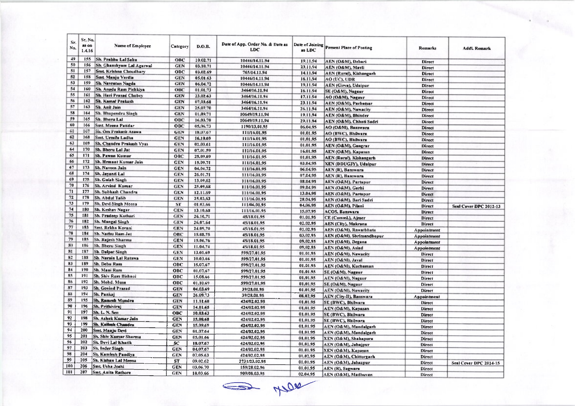| Sr. | Sr. No.         |                               |            |               |                                                |                           |                                 |                    |                        |
|-----|-----------------|-------------------------------|------------|---------------|------------------------------------------------|---------------------------|---------------------------------|--------------------|------------------------|
| No. | as on<br>1.4.16 | Name of Employee              | Category   | <b>D.O.B.</b> | Date of App. Order No. & Date as<br><b>LDC</b> | Date of Joining<br>as LDC | <b>Present Place of Posting</b> | Remarks            | Addl. Remark           |
| 49  | 155             | Sh. Prabhu Lal Sahu           | OBC        | 10.02.71      | 10446/14.11.94                                 | 19.11.94                  | AEN (O&M), Debari               | Direct             |                        |
| 50  | 156             | Sh. Ghanshyam Lal Agarwal     | <b>GEN</b> | 03.10.71      | 10446/14.11.94                                 | 23.11.94                  | AEN (O&M), Mavli                | <b>Direct</b>      |                        |
| 51  | 157             | Smt. Krishna Choudharv        | OBC        | 03.02.69      | 765/14.11.94                                   | 14.11.94                  | <b>AEN</b> (Rural), Kishangarh  | <b>Direct</b>      |                        |
| 52  | 158             | Smt. Manju Verdia             | <b>GEN</b> | 05.01.63      | 10446/14.11.94                                 | 16.11.94                  | AO (UC), UDR                    | Direct             |                        |
| 53  | 159             | <b>Sh. Navratan Nagda</b>     | <b>GEN</b> | 06.04.72      | 10446/14.11.94                                 | 19,11.94                  | <b>AEN (Girva), Udaipur</b>     | <b>Direct</b>      |                        |
| 54  | 160             | Sh. Anada Ram Pichkiya        | ОВС        | 01.01.73      | 3464/16.11.94                                  | 16.11.94                  | SE (O&M), Nagaur                | Direct             |                        |
| 55  | 161             | <b>Sh. Hari Prasad Chobey</b> | <b>GEN</b> | 23.02.63      | 3464/16.11.94                                  | 17.11.94                  | <b>AO (O&amp;M), Nagaur</b>     | Direct             |                        |
| 56  | 162             | <b>Sh. Kamal Prakash</b>      | <b>GEN</b> | 07,03,68      | 3464/16.11.94                                  | 23.11.94                  |                                 |                    |                        |
| 57  | 163             | <b>Sh. Anil Jain</b>          | <b>GEN</b> | 25.07.70      | 3464/16.11.94                                  | 26.11.94                  | AEN (O&M), Parbatsar            | Direct             |                        |
| 58  | 164             | Sh. Bhupendra Singh           | <b>GEN</b> | 01.09.71      | 10649/19.11.94                                 | 19.11.94                  | AEN (O&M), Nawacity             | Direct             |                        |
| 59  | 165             | Sh. Bheru Lal                 | ОВС        | 16.03.70      | 10649/19.11.94                                 |                           | AEN (O&M), Bhinder              | Direct             |                        |
| 60  | 166             | Smt. Meena Patidar            | OBC        | 05,06.73      |                                                | 29.11.94                  | AEN (O&M), Chhoti Sadri         | Direct             |                        |
| 61  | 167             | Sh. Om Frakash Asawa          | GEN        | 18,07.67      | 1190/13.01.95                                  | 06.04.95                  | AO (O&M), Banswara              | Direct             |                        |
| 62  | 168             | Smt. Urmila Ladha             | <b>GEN</b> |               | 111/16.01.95                                   | 01.01.95                  | AO (BWC), Bhilwara              | Direct             |                        |
| 63  | 169             | Sh. Chandra Prakash Vyas      |            | 16.10.69      | 111/16.01.95                                   | 01.01.95                  | <b>AO (BWC), Bhilwara</b>       | <b>Direct</b>      |                        |
| 64  | 170             |                               | <b>GEN</b> | 01.03.61      | 111/16.01.95                                   | 01.01.95                  | <b>AEN (O&amp;M), Gangrar</b>   | Direct             |                        |
| 65  | 171             | <b>Sh. Bheru Lal Jat</b>      | <b>GEN</b> | 07.01.59      | 111/16.01.95                                   | 16.01.95                  | AEN (O&M), Kapasan              | <b>Direct</b>      |                        |
|     |                 | <b>Sb. Pawan Kumar</b>        | <b>OBC</b> | 25,09.69      | 111/16.01.95                                   | 01.01.95                  | AEN (Rural), Kishangarh         | <b>Direct</b>      |                        |
| 66  | 172             | Sh. Hemant Kumar Jain         | <b>GEN</b> | 15.09.71      | 111/16.01.95                                   | 03.04.95                  | XEN (DDUGJY), Udaipur           | Direct             |                        |
| 67  | 173             | Sh. Naveen Jain               | <b>GEN</b> | 04,04,72      | 111/16.01.95                                   | 06.04.95                  | AEN (R), Banswara               | Direct             |                        |
| 68  | 174             | Sh. Jayanti Lal               | <b>GEN</b> | 26.01.71      | 111/16.01.95                                   | 07.04.95                  | <b>AEN</b> (R), Banswara        | <b>Direct</b>      |                        |
| 69  | 175             | Sh. Gulab Singh               | <b>GEN</b> | 13.09.62      | 111/16.01.95                                   | 08.04.95                  | AEN (O&M), Partapur             | Direct             |                        |
| 70  | 176             | <b>Sh. Arvind Kumar</b>       | <b>GEN</b> | 25.09.68      | 111/16.01.95                                   | 09.04.95                  | AEN (O&M), Garhi                | Direct             |                        |
| 71  | 177             | Sh. Subhash Chandra           | <b>GEN</b> | 12.11.69      | 111/16.01.95                                   | 13.04.95                  | AEN (O&M), Partapur             | Direct             |                        |
| 72  | <b>I78</b>      | Sh. Abdul Talih               | <b>GEN</b> | 25.03.63      | 111/16.01.95                                   | 28.04.95                  | AEN (O&M), Bari Sadri           | <b>Direct</b>      |                        |
| 73  | 179             | Sh. Devi Singh Meena          | ST         | 01.03.66      | 111/06.01.95                                   | 04.06.95                  | AEN (O&M), Pilani               | Direct             | Seal Cover DPC 2012-13 |
| 74  | 180             | <b>Sh. Keshav Nagar</b>       | <b>GEN</b> | 13.10.68      | 111/16.01.95                                   | 15.07.95                  | <b>ACOS, Banswara</b>           | <b>Direct</b>      |                        |
| 75  | 181             | Sh. Pradeep Kothari           | <b>GEN</b> | 26.10.71      | 45/18.01.95                                    | 01.01.95                  | CE (CommL), Ajmer               | Direct             |                        |
| 76  | 182             | <b>Sh. Mangal Singh</b>       | <b>GEN</b> | 26.07.64      | 45/18.01.95                                    | 02.02.95                  |                                 |                    |                        |
| 77  | 183             | Smt. Rekha Korani             | <b>GEN</b> | 24.09.70      | 45/18.01.95                                    | 01.02.95                  | <b>AEN</b> (City), Makrana      | Direct             |                        |
| 78  | 184             | Sh. Nathu Ram Jat             | ОВС        | 15.08.75      | 45/18.01.95                                    |                           | AEN (O&M), Rawatbhata           | <b>Appointment</b> |                        |
| 79  | 185             | Sh. Rajesh Sharma             | <b>GEN</b> | 15.06.76      |                                                | 03.02.95                  | AEN (O&M), Shrimandhepur        | Appointment        |                        |
| 80  | 186             | Sh. Bheru Singh               | <b>GEN</b> | 11.04.74      | 45/18.01.95                                    | 09.02.95                  | AEN (O&M), Degana               | <b>Appointment</b> |                        |
| 81  | 187             | <b>Sh. Dalpat Singh</b>       | <b>GEN</b> |               | 45/18.01.95                                    | 09.02.95                  | AEN (O&M), Asind                | <b>Appointment</b> |                        |
| 82  | 188             | <b>Sh. Narain Lal Ratawa</b>  |            | 13.01.69      | 599/27.01.95                                   | 01.01.95                  | AEN (O&M), Nawacity             | Direct             |                        |
| 83  | 189             | Sh. Debu Ram                  | <b>GEN</b> | 10.03.66      | 599/27.01.95                                   | 01.01.95                  | AEN (O&M), Javal                | <b>Direct</b>      |                        |
| 84  | 190             |                               | OBC        | 15.07.67      | 599/27.01.95                                   | 01.01.95                  | AEN (O&M), Kuchaman             | Direct             |                        |
| 85  |                 | Sh. Mani Ram                  | OBC        | 01,07.67      | 599/27.01.95                                   | 01.01.95                  | SE (O&M), Nagaur                | Direct             |                        |
|     | 191             | Sh. Shiv Ram Bishnoi          | OBC        | 15.08.66      | 599/27.01.95                                   | 01.01.95                  | AEN (O&M), Nagaur               | Direct             |                        |
| 86  | 192             | Sh. Mohd. Musa                | <b>OBC</b> | 01.10.69      | 599/27.01.95                                   | 01.01.95                  | SE (O&M), Nagaur                | Direct             |                        |
| 87  | 193             | <b>Sh. Govind Prasad</b>      | <b>GEN</b> | 04.03.69      | 39/28.01.95                                    | 01.01.95                  | AEN (O&M), Nawacity             | <b>Direct</b>      |                        |
| 88  | 194             | <b>Sh. Pankaj</b>             | <b>GEN</b> | 26.09.73      | 39/28.01.95                                    | 08.02.95                  | <b>AEN (City-II), Banswara</b>  | Appointment        |                        |
| 89  | 195             | Sh. Ramesh Mundra             | <b>GEN</b> | 11.11.68      | 424/02.02.95                                   | 01.01.95                  | <b>SE (BWC), Bhilwara</b>       | Direct             |                        |
| 90  | 196             | Sh. Prithiviraj               | <b>GEN</b> | 14.11.65      | 424/02.02.95                                   | 01.01.95                  | AEN (O&M), Kapasan              | <b>Direct</b>      |                        |
| 91  | 197             | Sh. L. N. Sen                 | <b>OBC</b> | 10,03.63      | 424/02.02.95                                   | 01.01.95                  | <b>SE (BWC), Bhilwara</b>       | <b>Direct</b>      |                        |
| 92  | 198             | Sh. Ashok Kumar Jain          | <b>GEN</b> | 15,08.63      | 424/02.02.95                                   | 01.01.95                  | <b>SE (BWC), Bhilwara</b>       | Direct             |                        |
| 93  | 199             | Sh. Kalisah Chandra           | GEN        | 15,09.69      | 424/02.02.95                                   | 01.01.95                  | AEN (O&M), Mandalgarh           | Direct             |                        |
| 94  | 200             | Smt. Manju Devi               | <b>GEN</b> | 01,07.64      | 424/02.02.95                                   | 01.01.95                  |                                 |                    |                        |
| 95  | 201             | <b>Sh. Shiv Kumar Sharma</b>  | <b>GEN</b> | 05.01.66      | 424/02.02.95                                   | 01.01.95                  | AEN (O&M), Mandalgarh           | Direct             |                        |
| 96  | 202             | <b>Sh. Devi Lai Kharik</b>    | SC.        | 18.07.67      | 424/02.02.95                                   | 01.01.95                  | XEN (O&M), Shahapura            | Direct             |                        |
| 97  | 203             | Sh. Inder Singh               | <b>GEN</b> | 04,07,67      | 424/02.02.95                                   |                           | AEN (O&M), Jahajpur             | <b>Direct</b>      |                        |
| 98  | 204             | <b>Sh. Kamlesh Pandiya</b>    | <b>GEN</b> | 07.05.63      | 424/02.02.95                                   | 01.01.95                  | XEN (O&M), Kapasan              | Direct             |                        |
| 99  | 205             | Sh. Kishan Lal Meena          | ST         | 09.02.62      |                                                | 01.02.95                  | AEN (O&M), Chittorgarh          | Direct             |                        |
| 100 | 206             | Smt. Usha Joshi               | <b>GEN</b> | 03.06.70      | 2731/23.02.95                                  | 01.01.95                  | AEN (O&M), Jahazpur             | Direct             | Seal Cover DPC 2014-15 |
| 101 | 207             | <b>Smt. Anita Rathore</b>     |            |               | 159/28.02.96                                   | 01.01.95                  | AEN (R), Sagwara                | Direct             |                        |
|     |                 |                               | <b>GEN</b> | 18.03.66      | 909/08.03.95                                   | 02.04.95                  | AEN (O&M), Madhuyan             | <b>Direct</b>      |                        |

SO MOR